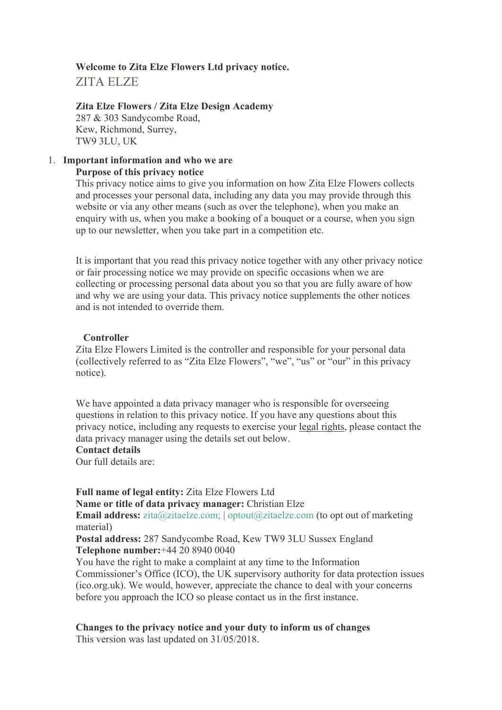# **Welcome to Zita Elze Flowers Ltd privacy notice.**

ZITA ELZE

# **Zita Elze Flowers / Zita Elze Design Academy**

287 & 303 Sandycombe Road, Kew, Richmond, Surrey, TW9 3LU, UK

#### 1. **Important information and who we are Purpose of this privacy notice**

This privacy notice aims to give you information on how Zita Elze Flowers collects and processes your personal data, including any data you may provide through this website or via any other means (such as over the telephone), when you make an enquiry with us, when you make a booking of a bouquet or a course, when you sign up to our newsletter, when you take part in a competition etc.

It is important that you read this privacy notice together with any other privacy notice or fair processing notice we may provide on specific occasions when we are collecting or processing personal data about you so that you are fully aware of how and why we are using your data. This privacy notice supplements the other notices and is not intended to override them.

# **Controller**

Zita Elze Flowers Limited is the controller and responsible for your personal data (collectively referred to as "Zita Elze Flowers", "we", "us" or "our" in this privacy notice).

We have appointed a data privacy manager who is responsible for overseeing questions in relation to this privacy notice. If you have any questions about this privacy notice, including any requests to exercise your legal rights, please contact the data privacy manager using the details set out below.

### **Contact details**

Our full details are:

**Full name of legal entity:** Zita Elze Flowers Ltd

**Name or title of data privacy manager:** Christian Elze

**Email address:** zita@zitaelze.com; | optout@zitaelze.com (to opt out of marketing material)

**Postal address:** 287 Sandycombe Road, Kew TW9 3LU Sussex England **Telephone number:**+44 20 8940 0040

You have the right to make a complaint at any time to the Information Commissioner's Office (ICO), the UK supervisory authority for data protection issues (ico.org.uk). We would, however, appreciate the chance to deal with your concerns before you approach the ICO so please contact us in the first instance.

**Changes to the privacy notice and your duty to inform us of changes**

This version was last updated on 31/05/2018.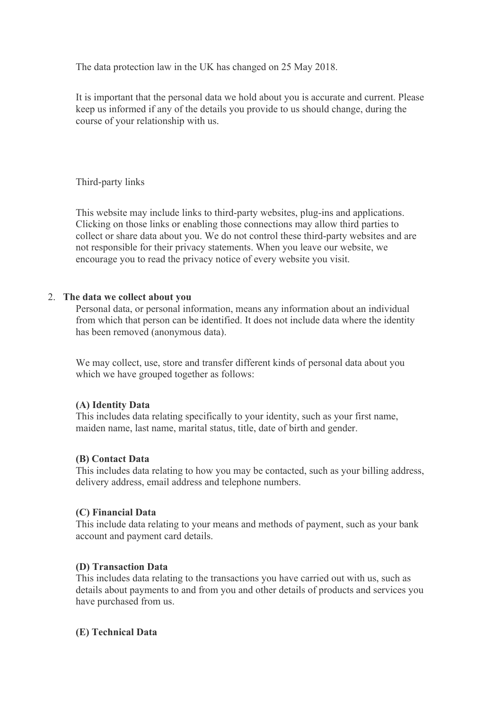The data protection law in the UK has changed on 25 May 2018.

It is important that the personal data we hold about you is accurate and current. Please keep us informed if any of the details you provide to us should change, during the course of your relationship with us.

# Third-party links

This website may include links to third-party websites, plug-ins and applications. Clicking on those links or enabling those connections may allow third parties to collect or share data about you. We do not control these third-party websites and are not responsible for their privacy statements. When you leave our website, we encourage you to read the privacy notice of every website you visit.

# 2. **The data we collect about you**

Personal data, or personal information, means any information about an individual from which that person can be identified. It does not include data where the identity has been removed (anonymous data).

We may collect, use, store and transfer different kinds of personal data about you which we have grouped together as follows:

### **(A) Identity Data**

This includes data relating specifically to your identity, such as your first name, maiden name, last name, marital status, title, date of birth and gender.

### **(B) Contact Data**

This includes data relating to how you may be contacted, such as your billing address, delivery address, email address and telephone numbers.

### **(C) Financial Data**

This include data relating to your means and methods of payment, such as your bank account and payment card details.

### **(D) Transaction Data**

This includes data relating to the transactions you have carried out with us, such as details about payments to and from you and other details of products and services you have purchased from us.

# **(E) Technical Data**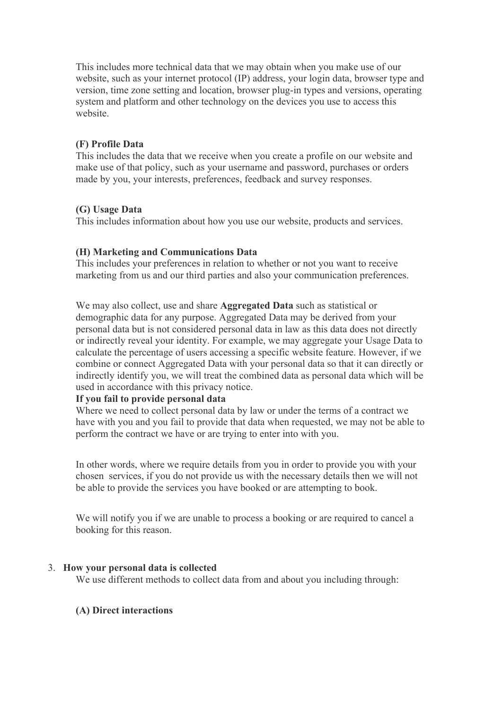This includes more technical data that we may obtain when you make use of our website, such as your internet protocol (IP) address, your login data, browser type and version, time zone setting and location, browser plug-in types and versions, operating system and platform and other technology on the devices you use to access this website.

### **(F) Profile Data**

This includes the data that we receive when you create a profile on our website and make use of that policy, such as your username and password, purchases or orders made by you, your interests, preferences, feedback and survey responses.

### **(G) Usage Data**

This includes information about how you use our website, products and services.

# **(H) Marketing and Communications Data**

This includes your preferences in relation to whether or not you want to receive marketing from us and our third parties and also your communication preferences.

We may also collect, use and share **Aggregated Data** such as statistical or demographic data for any purpose. Aggregated Data may be derived from your personal data but is not considered personal data in law as this data does not directly or indirectly reveal your identity. For example, we may aggregate your Usage Data to calculate the percentage of users accessing a specific website feature. However, if we combine or connect Aggregated Data with your personal data so that it can directly or indirectly identify you, we will treat the combined data as personal data which will be used in accordance with this privacy notice.

### **If you fail to provide personal data**

Where we need to collect personal data by law or under the terms of a contract we have with you and you fail to provide that data when requested, we may not be able to perform the contract we have or are trying to enter into with you.

In other words, where we require details from you in order to provide you with your chosen services, if you do not provide us with the necessary details then we will not be able to provide the services you have booked or are attempting to book.

We will notify you if we are unable to process a booking or are required to cancel a booking for this reason.

### 3. **How your personal data is collected**

We use different methods to collect data from and about you including through:

### **(A) Direct interactions**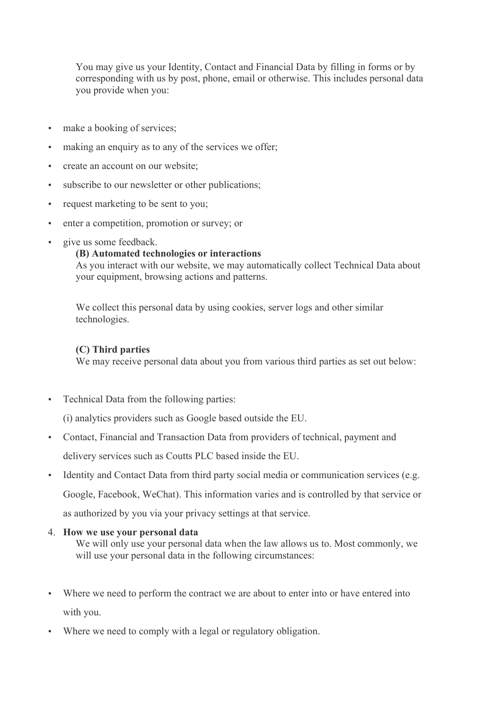You may give us your Identity, Contact and Financial Data by filling in forms or by corresponding with us by post, phone, email or otherwise. This includes personal data you provide when you:

- make a booking of services;
- making an enquiry as to any of the services we offer;
- create an account on our website;
- subscribe to our newsletter or other publications;
- request marketing to be sent to you;
- enter a competition, promotion or survey; or
- give us some feedback.

# **(B) Automated technologies or interactions**

As you interact with our website, we may automatically collect Technical Data about your equipment, browsing actions and patterns.

We collect this personal data by using cookies, server logs and other similar technologies.

# **(C) Third parties**

We may receive personal data about you from various third parties as set out below:

• Technical Data from the following parties:

(i) analytics providers such as Google based outside the EU.

- Contact, Financial and Transaction Data from providers of technical, payment and delivery services such as Coutts PLC based inside the EU.
- Identity and Contact Data from third party social media or communication services (e.g. Google, Facebook, WeChat). This information varies and is controlled by that service or as authorized by you via your privacy settings at that service.

# 4. **How we use your personal data**

We will only use your personal data when the law allows us to. Most commonly, we will use your personal data in the following circumstances:

- Where we need to perform the contract we are about to enter into or have entered into with you.
- Where we need to comply with a legal or regulatory obligation.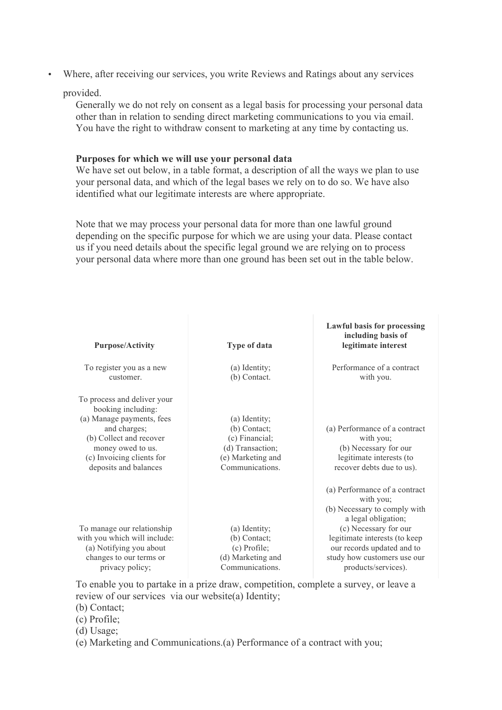• Where, after receiving our services, you write Reviews and Ratings about any services

provided.

Generally we do not rely on consent as a legal basis for processing your personal data other than in relation to sending direct marketing communications to you via email. You have the right to withdraw consent to marketing at any time by contacting us.

#### **Purposes for which we will use your personal data**

We have set out below, in a table format, a description of all the ways we plan to use your personal data, and which of the legal bases we rely on to do so. We have also identified what our legitimate interests are where appropriate.

Note that we may process your personal data for more than one lawful ground depending on the specific purpose for which we are using your data. Please contact us if you need details about the specific legal ground we are relying on to process your personal data where more than one ground has been set out in the table below.

| <b>Purpose/Activity</b>                                                                                                                                                                              | <b>Type of data</b>                                                                                           | <b>Lawful basis for processing</b><br>including basis of<br>legitimate interest                                                                                                                                                                 |
|------------------------------------------------------------------------------------------------------------------------------------------------------------------------------------------------------|---------------------------------------------------------------------------------------------------------------|-------------------------------------------------------------------------------------------------------------------------------------------------------------------------------------------------------------------------------------------------|
| To register you as a new<br>customer.                                                                                                                                                                | (a) Identity;<br>(b) Contact.                                                                                 | Performance of a contract<br>with you.                                                                                                                                                                                                          |
| To process and deliver your<br>booking including:<br>(a) Manage payments, fees<br>and charges;<br>(b) Collect and recover<br>money owed to us.<br>(c) Invoicing clients for<br>deposits and balances | $(a)$ Identity;<br>(b) Contact;<br>(c) Financial;<br>(d) Transaction;<br>(e) Marketing and<br>Communications. | (a) Performance of a contract<br>with you;<br>(b) Necessary for our<br>legitimate interests (to<br>recover debts due to us).                                                                                                                    |
| To manage our relationship<br>with you which will include:<br>(a) Notifying you about<br>changes to our terms or<br>privacy policy;                                                                  | (a) Identity;<br>(b) Contact;<br>$(c)$ Profile;<br>(d) Marketing and<br>Communications.                       | (a) Performance of a contract<br>with you;<br>(b) Necessary to comply with<br>a legal obligation;<br>(c) Necessary for our<br>legitimate interests (to keep<br>our records updated and to<br>study how customers use our<br>products/services). |

To enable you to partake in a prize draw, competition, complete a survey, or leave a review of our services via our website(a) Identity;

- (b) Contact;
- (c) Profile;
- (d) Usage;

(e) Marketing and Communications.(a) Performance of a contract with you;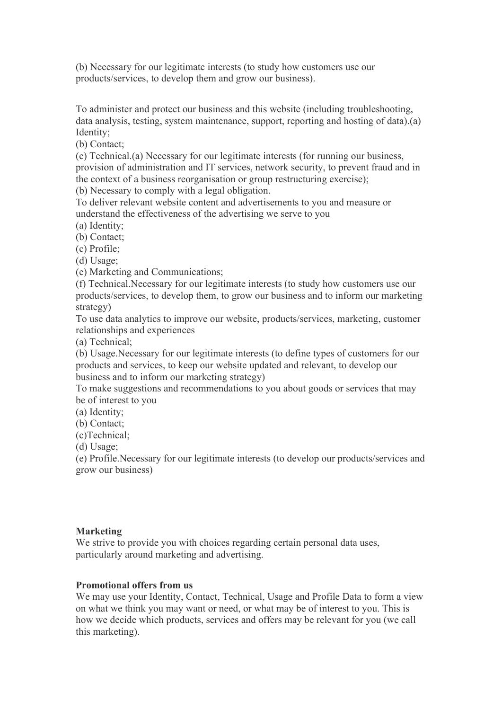(b) Necessary for our legitimate interests (to study how customers use our products/services, to develop them and grow our business).

To administer and protect our business and this website (including troubleshooting, data analysis, testing, system maintenance, support, reporting and hosting of data).(a) Identity;

(b) Contact;

(c) Technical.(a) Necessary for our legitimate interests (for running our business, provision of administration and IT services, network security, to prevent fraud and in the context of a business reorganisation or group restructuring exercise);

(b) Necessary to comply with a legal obligation.

To deliver relevant website content and advertisements to you and measure or understand the effectiveness of the advertising we serve to you

(a) Identity;

(b) Contact;

(c) Profile;

(d) Usage;

(e) Marketing and Communications;

(f) Technical.Necessary for our legitimate interests (to study how customers use our products/services, to develop them, to grow our business and to inform our marketing strategy)

To use data analytics to improve our website, products/services, marketing, customer relationships and experiences

(a) Technical;

(b) Usage.Necessary for our legitimate interests (to define types of customers for our products and services, to keep our website updated and relevant, to develop our business and to inform our marketing strategy)

To make suggestions and recommendations to you about goods or services that may be of interest to you

(a) Identity;

(b) Contact;

(c)Technical;

(d) Usage;

(e) Profile.Necessary for our legitimate interests (to develop our products/services and grow our business)

### **Marketing**

We strive to provide you with choices regarding certain personal data uses, particularly around marketing and advertising.

### **Promotional offers from us**

We may use your Identity, Contact, Technical, Usage and Profile Data to form a view on what we think you may want or need, or what may be of interest to you. This is how we decide which products, services and offers may be relevant for you (we call this marketing).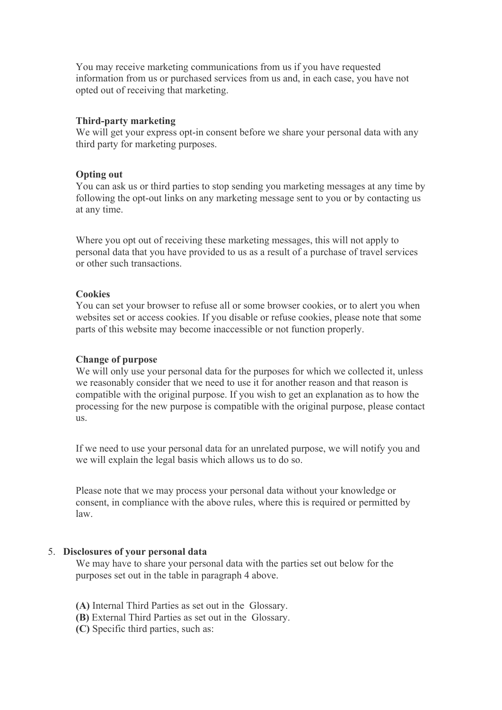You may receive marketing communications from us if you have requested information from us or purchased services from us and, in each case, you have not opted out of receiving that marketing.

### **Third-party marketing**

We will get your express opt-in consent before we share your personal data with any third party for marketing purposes.

### **Opting out**

You can ask us or third parties to stop sending you marketing messages at any time by following the opt-out links on any marketing message sent to you or by contacting us at any time.

Where you opt out of receiving these marketing messages, this will not apply to personal data that you have provided to us as a result of a purchase of travel services or other such transactions.

### **Cookies**

You can set your browser to refuse all or some browser cookies, or to alert you when websites set or access cookies. If you disable or refuse cookies, please note that some parts of this website may become inaccessible or not function properly.

#### **Change of purpose**

We will only use your personal data for the purposes for which we collected it, unless we reasonably consider that we need to use it for another reason and that reason is compatible with the original purpose. If you wish to get an explanation as to how the processing for the new purpose is compatible with the original purpose, please contact us.

If we need to use your personal data for an unrelated purpose, we will notify you and we will explain the legal basis which allows us to do so.

Please note that we may process your personal data without your knowledge or consent, in compliance with the above rules, where this is required or permitted by law.

#### 5. **Disclosures of your personal data**

We may have to share your personal data with the parties set out below for the purposes set out in the table in paragraph 4 above.

- **(A)** Internal Third Parties as set out in the Glossary.
- **(B)** External Third Parties as set out in the Glossary.
- **(C)** Specific third parties, such as: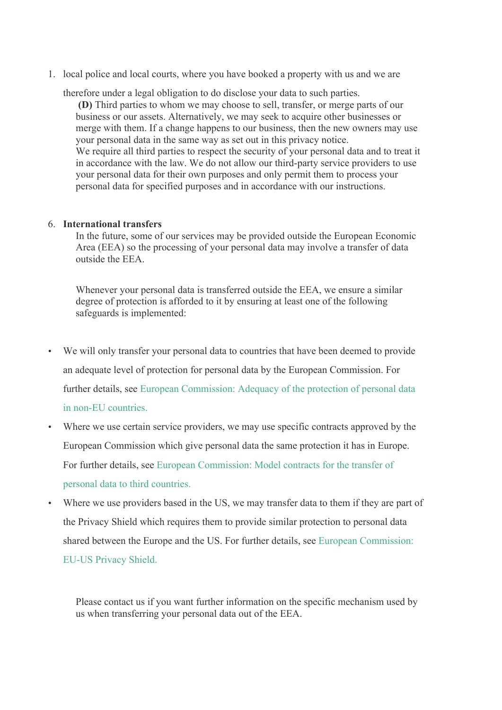1. local police and local courts, where you have booked a property with us and we are

therefore under a legal obligation to do disclose your data to such parties.

**(D)** Third parties to whom we may choose to sell, transfer, or merge parts of our business or our assets. Alternatively, we may seek to acquire other businesses or merge with them. If a change happens to our business, then the new owners may use your personal data in the same way as set out in this privacy notice. We require all third parties to respect the security of your personal data and to treat it in accordance with the law. We do not allow our third-party service providers to use your personal data for their own purposes and only permit them to process your personal data for specified purposes and in accordance with our instructions.

### 6. **International transfers**

In the future, some of our services may be provided outside the European Economic Area (EEA) so the processing of your personal data may involve a transfer of data outside the EEA.

Whenever your personal data is transferred outside the EEA, we ensure a similar degree of protection is afforded to it by ensuring at least one of the following safeguards is implemented:

- We will only transfer your personal data to countries that have been deemed to provide an adequate level of protection for personal data by the European Commission. For further details, see European Commission: Adequacy of the protection of personal data in non-EU countries.
- Where we use certain service providers, we may use specific contracts approved by the European Commission which give personal data the same protection it has in Europe. For further details, see European Commission: Model contracts for the transfer of personal data to third countries.
- Where we use providers based in the US, we may transfer data to them if they are part of the Privacy Shield which requires them to provide similar protection to personal data shared between the Europe and the US. For further details, see European Commission: EU-US Privacy Shield.

Please contact us if you want further information on the specific mechanism used by us when transferring your personal data out of the EEA.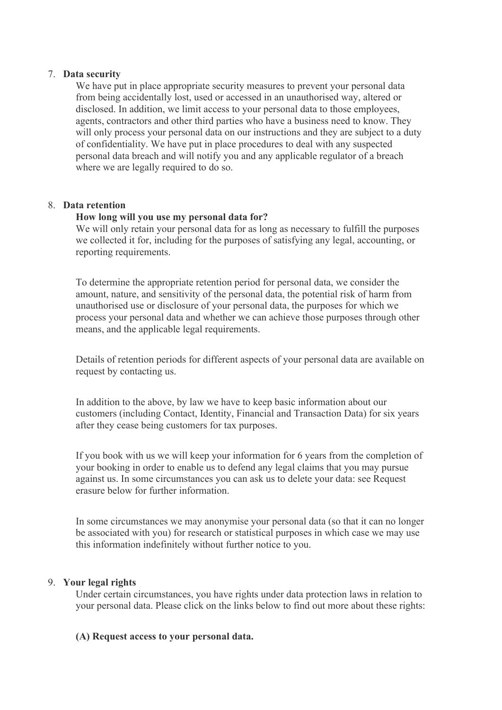### 7. **Data security**

We have put in place appropriate security measures to prevent your personal data from being accidentally lost, used or accessed in an unauthorised way, altered or disclosed. In addition, we limit access to your personal data to those employees, agents, contractors and other third parties who have a business need to know. They will only process your personal data on our instructions and they are subject to a duty of confidentiality. We have put in place procedures to deal with any suspected personal data breach and will notify you and any applicable regulator of a breach where we are legally required to do so.

# 8. **Data retention**

# **How long will you use my personal data for?**

We will only retain your personal data for as long as necessary to fulfill the purposes we collected it for, including for the purposes of satisfying any legal, accounting, or reporting requirements.

To determine the appropriate retention period for personal data, we consider the amount, nature, and sensitivity of the personal data, the potential risk of harm from unauthorised use or disclosure of your personal data, the purposes for which we process your personal data and whether we can achieve those purposes through other means, and the applicable legal requirements.

Details of retention periods for different aspects of your personal data are available on request by contacting us.

In addition to the above, by law we have to keep basic information about our customers (including Contact, Identity, Financial and Transaction Data) for six years after they cease being customers for tax purposes.

If you book with us we will keep your information for 6 years from the completion of your booking in order to enable us to defend any legal claims that you may pursue against us. In some circumstances you can ask us to delete your data: see Request erasure below for further information.

In some circumstances we may anonymise your personal data (so that it can no longer be associated with you) for research or statistical purposes in which case we may use this information indefinitely without further notice to you.

### 9. **Your legal rights**

Under certain circumstances, you have rights under data protection laws in relation to your personal data. Please click on the links below to find out more about these rights:

### **(A) Request access to your personal data.**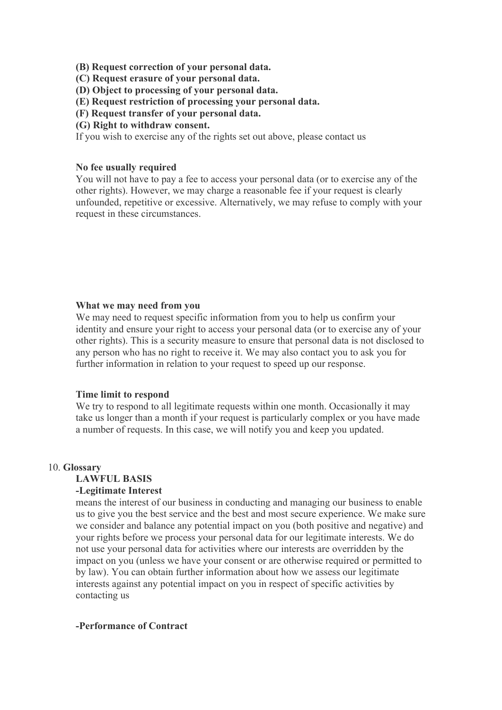**(B) Request correction of your personal data.**

**(C) Request erasure of your personal data.**

- **(D) Object to processing of your personal data.**
- **(E) Request restriction of processing your personal data.**
- **(F) Request transfer of your personal data.**
- **(G) Right to withdraw consent.**

If you wish to exercise any of the rights set out above, please contact us

#### **No fee usually required**

You will not have to pay a fee to access your personal data (or to exercise any of the other rights). However, we may charge a reasonable fee if your request is clearly unfounded, repetitive or excessive. Alternatively, we may refuse to comply with your request in these circumstances.

### **What we may need from you**

We may need to request specific information from you to help us confirm your identity and ensure your right to access your personal data (or to exercise any of your other rights). This is a security measure to ensure that personal data is not disclosed to any person who has no right to receive it. We may also contact you to ask you for further information in relation to your request to speed up our response.

#### **Time limit to respond**

We try to respond to all legitimate requests within one month. Occasionally it may take us longer than a month if your request is particularly complex or you have made a number of requests. In this case, we will notify you and keep you updated.

#### 10. **Glossary**

# **LAWFUL BASIS**

# **-Legitimate Interest**

means the interest of our business in conducting and managing our business to enable us to give you the best service and the best and most secure experience. We make sure we consider and balance any potential impact on you (both positive and negative) and your rights before we process your personal data for our legitimate interests. We do not use your personal data for activities where our interests are overridden by the impact on you (unless we have your consent or are otherwise required or permitted to by law). You can obtain further information about how we assess our legitimate interests against any potential impact on you in respect of specific activities by contacting us

### **-Performance of Contract**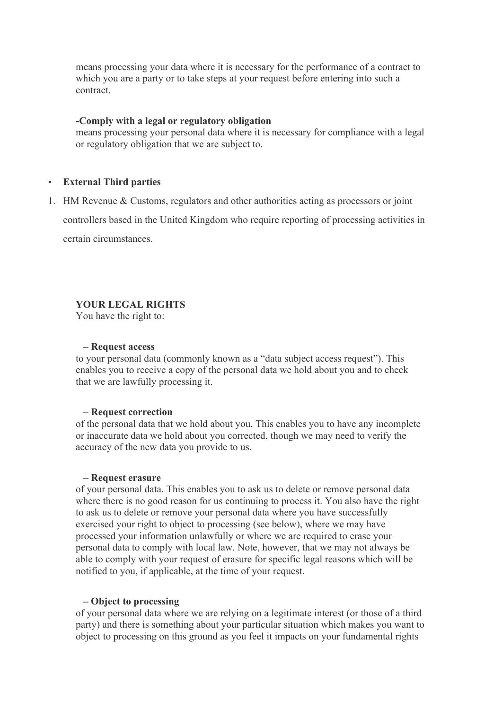means processing your data where it is necessary for the performance of a contract to which you are a party or to take steps at your request before entering into such a contract.

#### **-Comply with a legal or regulatory obligation**

means processing your personal data where it is necessary for compliance with a legal or regulatory obligation that we are subject to.

#### • **External Third parties**

1. HM Revenue & Customs, regulators and other authorities acting as processors or joint controllers based in the United Kingdom who require reporting of processing activities in certain circumstances.

### **YOUR LEGAL RIGHTS**

You have the right to:

#### **– Request access**

to your personal data (commonly known as a "data subject access request"). This enables you to receive a copy of the personal data we hold about you and to check that we are lawfully processing it.

#### **– Request correction**

of the personal data that we hold about you. This enables you to have any incomplete or inaccurate data we hold about you corrected, though we may need to verify the accuracy of the new data you provide to us.

#### **– Request erasure**

of your personal data. This enables you to ask us to delete or remove personal data where there is no good reason for us continuing to process it. You also have the right to ask us to delete or remove your personal data where you have successfully exercised your right to object to processing (see below), where we may have processed your information unlawfully or where we are required to erase your personal data to comply with local law. Note, however, that we may not always be able to comply with your request of erasure for specific legal reasons which will be notified to you, if applicable, at the time of your request.

#### **– Object to processing**

of your personal data where we are relying on a legitimate interest (or those of a third party) and there is something about your particular situation which makes you want to object to processing on this ground as you feel it impacts on your fundamental rights